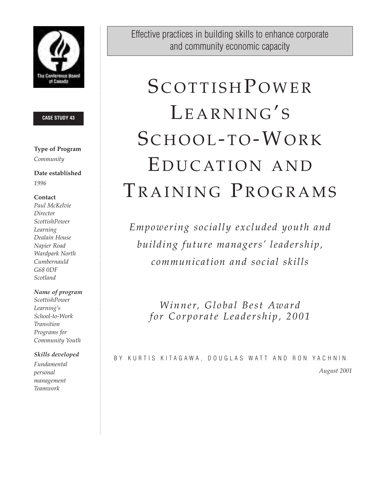

#### **CASE STUDY 43**

# **Type of Program** *Community*

**Date established** *1996*

# **Contact**

*Paul McKelvie Director ScottishPower Learning Dealain House Napier Road Wardpark North Cumbernauld G68 0DF Scotland*

# *Name of program*

*ScottishPower Learning's School-to-Work Transition Programs for Community Youth*

# *Skills developed*

*Fundamental personal management Teamwork*

Effective practices in building skills to enhance corporate and community economic capacity

# **SCOTTISH POWER** LEARNING'S SCHOOL-TO-WORK E DUCATION AND TRAINING PROGRAMS

*Empowering socially excluded youth and building future managers' leadership, communication and social skills*

*Winner, Global Best Award for Corporate Leadership, 2001*

BY KURTIS KITAGAWA, DOUGLAS WATT AND RON YACHNIN *August 2001*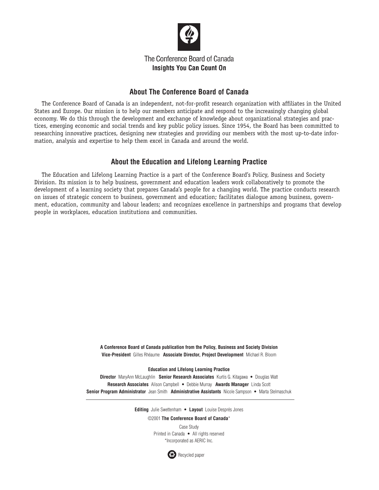

# The Conference Board of Canada **Insights You Can Count On**

# **About The Conference Board of Canada**

The Conference Board of Canada is an independent, not-for-profit research organization with affiliates in the United States and Europe. Our mission is to help our members anticipate and respond to the increasingly changing global economy. We do this through the development and exchange of knowledge about organizational strategies and practices, emerging economic and social trends and key public policy issues. Since 1954, the Board has been committed to researching innovative practices, designing new strategies and providing our members with the most up-to-date information, analysis and expertise to help them excel in Canada and around the world.

# **About the Education and Lifelong Learning Practice**

The Education and Lifelong Learning Practice is a part of the Conference Board's Policy, Business and Society Division. Its mission is to help business, government and education leaders work collaboratively to promote the development of a learning society that prepares Canada's people for a changing world. The practice conducts research on issues of strategic concern to business, government and education; facilitates dialogue among business, government, education, community and labour leaders; and recognizes excellence in partnerships and programs that develop people in workplaces, education institutions and communities.

> **A Conference Board of Canada publication from the Policy, Business and Society Division Vice-President** Gilles Rhéaume **Associate Director, Project Development** Michael R. Bloom

#### **Education and Lifelong Learning Practice**

**Director** MaryAnn McLaughlin **Senior Research Associates** Kurtis G. Kitagawa • Douglas Watt **Research Associates** Alison Campbell • Debbie Murray **Awards Manager** Linda Scott **Senior Program Administrator** Jean Smith **Administrative Assistants** Nicole Sampson • Marta Stelmaschuk

**Editing** Julie Swettenham • **Layout** Louise Després Jones

©2001 **The Conference Board of Canada**\*

Case Study Printed in Canada • All rights reserved \*Incorporated as AERIC Inc.

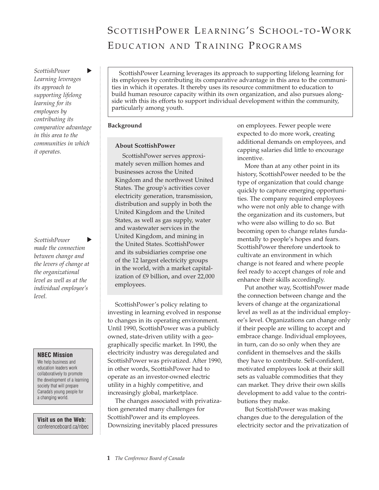# SCOTTISH POWER LEARNING'S SCHOOL-TO-WORK EDUCATION AND TRAINING PROGRAMS

*ScottishPower* ь *Learning leverages its approach to supporting lifelong learning for its employees by contributing its comparative advantage in this area to the communities in which it operates.*

*ScottishPower*  Þ *made the connection between change and the levers of change at the organizational level as well as at the individual employee's level.* 

#### **NBEC Mission**

We help business and education leaders work collaboratively to promote the development of a learning society that will prepare Canada's young people for a changing world.

**Visit us on the Web:** conferenceboard.ca/nbec

ScottishPower Learning leverages its approach to supporting lifelong learning for its employees by contributing its comparative advantage in this area to the communities in which it operates. It thereby uses its resource commitment to education to build human resource capacity within its own organization, and also pursues alongside with this its efforts to support individual development within the community, particularly among youth.

#### **Background**

#### **About ScottishPower**

ScottishPower serves approximately seven million homes and businesses across the United Kingdom and the northwest United States. The group's activities cover electricity generation, transmission, distribution and supply in both the United Kingdom and the United States, as well as gas supply, water and wastewater services in the United Kingdom, and mining in the United States. ScottishPower and its subsidiaries comprise one of the 12 largest electricity groups in the world, with a market capitalization of £9 billion, and over 22,000 employees.

ScottishPower's policy relating to investing in learning evolved in response to changes in its operating environment. Until 1990, ScottishPower was a publicly owned, state-driven utility with a geographically specific market. In 1990, the electricity industry was deregulated and ScottishPower was privatized. After 1990, in other words, ScottishPower had to operate as an investor-owned electric utility in a highly competitive, and increasingly global, marketplace.

The changes associated with privatization generated many challenges for ScottishPower and its employees. Downsizing inevitably placed pressures

on employees. Fewer people were expected to do more work, creating additional demands on employees, and capping salaries did little to encourage incentive.

More than at any other point in its history, ScottishPower needed to be the type of organization that could change quickly to capture emerging opportunities. The company required employees who were not only able to change with the organization and its customers, but who were also willing to do so. But becoming open to change relates fundamentally to people's hopes and fears. ScottishPower therefore undertook to cultivate an environment in which change is not feared and where people feel ready to accept changes of role and enhance their skills accordingly.

Put another way, ScottishPower made the connection between change and the levers of change at the organizational level as well as at the individual employee's level. Organizations can change only if their people are willing to accept and embrace change. Individual employees, in turn, can do so only when they are confident in themselves and the skills they have to contribute. Self-confident, motivated employees look at their skill sets as valuable commodities that they can market. They drive their own skills development to add value to the contributions they make.

But ScottishPower was making changes due to the deregulation of the electricity sector and the privatization of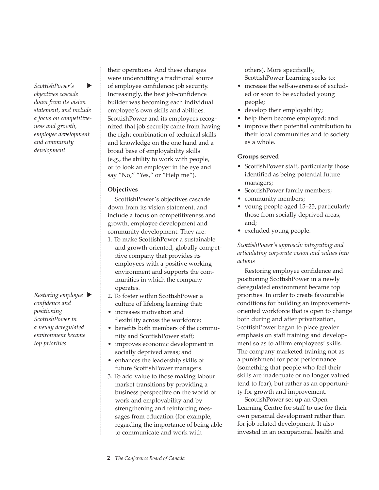*ScottishPower's*  ь *objectives cascade down from its vision statement, and include a focus on competitiveness and growth, employee development and community development.*

*Restoring employee confidence and positioning ScottishPower in a newly deregulated environment became top priorities.*

their operations. And these changes were undercutting a traditional source of employee confidence: job security. Increasingly, the best job-confidence builder was becoming each individual employee's own skills and abilities. ScottishPower and its employees recognized that job security came from having the right combination of technical skills and knowledge on the one hand and a broad base of employability skills (e.g., the ability to work with people, or to look an employer in the eye and say "No," "Yes," or "Help me").

#### **Objectives**

ScottishPower's objectives cascade down from its vision statement, and include a focus on competitiveness and growth, employee development and community development. They are:

- 1. To make ScottishPower a sustainable and growth-oriented, globally competitive company that provides its employees with a positive working environment and supports the communities in which the company operates.
- 2. To foster within ScottishPower a culture of lifelong learning that:
- increases motivation and flexibility across the workforce;
- benefits both members of the community and ScottishPower staff;
- improves economic development in socially deprived areas; and
- enhances the leadership skills of future ScottishPower managers.
- 3. To add value to those making labour market transitions by providing a business perspective on the world of work and employability and by strengthening and reinforcing messages from education (for example, regarding the importance of being able to communicate and work with

others). More specifically, ScottishPower Learning seeks to:

- increase the self-awareness of excluded or soon to be excluded young people;
- develop their employability;
- help them become employed; and
- improve their potential contribution to their local communities and to society as a whole.

#### **Groups served**

- ScottishPower staff, particularly those identified as being potential future managers;
- ScottishPower family members;
- community members;
- young people aged 15–25, particularly those from socially deprived areas, and;
- excluded young people.

*ScottishPower's approach: integrating and articulating corporate vision and values into actions*

Restoring employee confidence and positioning ScottishPower in a newly deregulated environment became top priorities. In order to create favourable conditions for building an improvementoriented workforce that is open to change both during and after privatization, ScottishPower began to place greater emphasis on staff training and development so as to affirm employees' skills. The company marketed training not as a punishment for poor performance (something that people who feel their skills are inadequate or no longer valued tend to fear), but rather as an opportunity for growth and improvement.

ScottishPower set up an Open Learning Centre for staff to use for their own personal development rather than for job-related development. It also invested in an occupational health and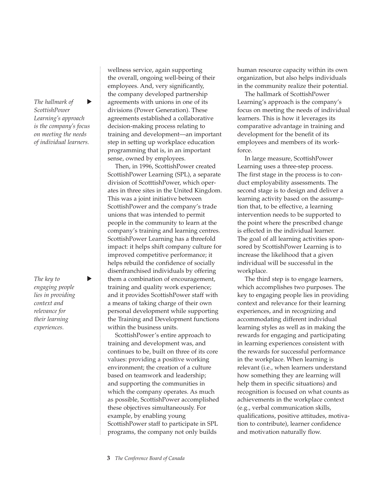*The hallmark of* ь *ScottishPower Learning's approach is the company's focus on meeting the needs of individual learners.*

*The key to engaging people lies in providing context and relevance for their learning experiences.*

 $\blacktriangleright$ 

wellness service, again supporting the overall, ongoing well-being of their employees. And, very significantly, the company developed partnership agreements with unions in one of its divisions (Power Generation). These agreements established a collaborative decision-making process relating to training and development—an important step in setting up workplace education programming that is, in an important sense, owned by employees.

Then, in 1996, ScottishPower created ScottishPower Learning (SPL), a separate division of ScotttishPower, which operates in three sites in the United Kingdom. This was a joint initiative between ScottishPower and the company's trade unions that was intended to permit people in the community to learn at the company's training and learning centres. ScottishPower Learning has a threefold impact: it helps shift company culture for improved competitive performance; it helps rebuild the confidence of socially disenfranchised individuals by offering them a combination of encouragement, training and quality work experience; and it provides ScottishPower staff with a means of taking charge of their own personal development while supporting the Training and Development functions within the business units.

ScottishPower's entire approach to training and development was, and continues to be, built on three of its core values: providing a positive working environment; the creation of a culture based on teamwork and leadership; and supporting the communities in which the company operates. As much as possible, ScottishPower accomplished these objectives simultaneously. For example, by enabling young ScottishPower staff to participate in SPL programs, the company not only builds

human resource capacity within its own organization, but also helps individuals in the community realize their potential.

The hallmark of ScottishPower Learning's approach is the company's focus on meeting the needs of individual learners. This is how it leverages its comparative advantage in training and development for the benefit of its employees and members of its workforce.

In large measure, ScottishPower Learning uses a three-step process. The first stage in the process is to conduct employability assessments. The second stage is to design and deliver a learning activity based on the assumption that, to be effective, a learning intervention needs to be supported to the point where the prescribed change is effected in the individual learner. The goal of all learning activities sponsored by ScottishPower Learning is to increase the likelihood that a given individual will be successful in the workplace.

The third step is to engage learners, which accomplishes two purposes. The key to engaging people lies in providing context and relevance for their learning experiences, and in recognizing and accommodating different individual learning styles as well as in making the rewards for engaging and participating in learning experiences consistent with the rewards for successful performance in the workplace. When learning is relevant (i.e., when learners understand how something they are learning will help them in specific situations) and recognition is focused on what counts as achievements in the workplace context (e.g., verbal communication skills, qualifications, positive attitudes, motivation to contribute), learner confidence and motivation naturally flow.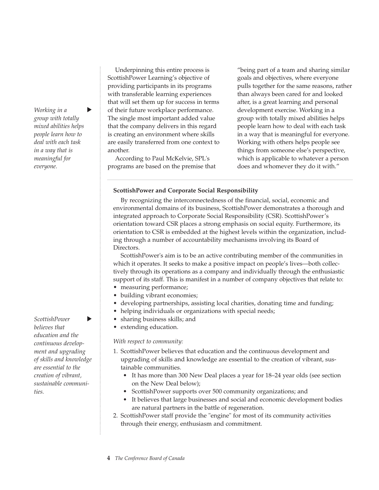*Working in a group with totally mixed abilities helps people learn how to deal with each task in a way that is meaningful for everyone.*

 $\blacktriangleright$ 

#### *ScottishPower*  Þ *believes that education and the continuous development and upgrading of skills and knowledge are essential to the creation of vibrant, sustainable communities.*

Underpinning this entire process is ScottishPower Learning's objective of providing participants in its programs with transferable learning experiences that will set them up for success in terms of their future workplace performance. The single most important added value that the company delivers in this regard is creating an environment where skills are easily transferred from one context to another.

According to Paul McKelvie, SPL's programs are based on the premise that "being part of a team and sharing similar goals and objectives, where everyone pulls together for the same reasons, rather than always been cared for and looked after, is a great learning and personal development exercise. Working in a group with totally mixed abilities helps people learn how to deal with each task in a way that is meaningful for everyone. Working with others helps people see things from someone else's perspective, which is applicable to whatever a person does and whomever they do it with."

#### **ScottishPower and Corporate Social Responsibility**

By recognizing the interconnectedness of the financial, social, economic and environmental domains of its business, ScottishPower demonstrates a thorough and integrated approach to Corporate Social Responsibility (CSR). ScottishPower's orientation toward CSR places a strong emphasis on social equity. Furthermore, its orientation to CSR is embedded at the highest levels within the organization, including through a number of accountability mechanisms involving its Board of Directors.

ScottishPower's aim is to be an active contributing member of the communities in which it operates. It seeks to make a positive impact on people's lives—both collectively through its operations as a company and individually through the enthusiastic support of its staff. This is manifest in a number of company objectives that relate to:

- measuring performance;
- building vibrant economies;
- developing partnerships, assisting local charities, donating time and funding;
- helping individuals or organizations with special needs;
- sharing business skills; and
- extending education.

#### *With respect to community:*

- 1. ScottishPower believes that education and the continuous development and upgrading of skills and knowledge are essential to the creation of vibrant, sustainable communities.
	- It has more than 300 New Deal places a year for 18–24 year olds (see section on the New Deal below);
	- ScottishPower supports over 500 community organizations; and
	- It believes that large businesses and social and economic development bodies are natural partners in the battle of regeneration.
- 2. ScottishPower staff provide the "engine" for most of its community activities through their energy, enthusiasm and commitment.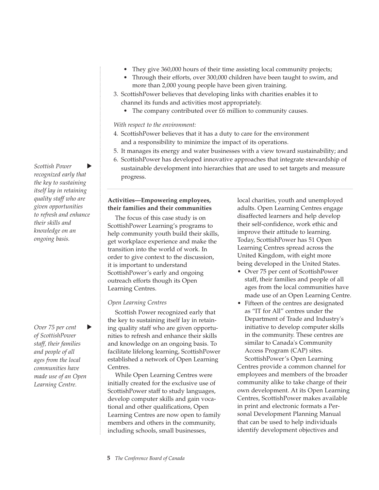- They give 360,000 hours of their time assisting local community projects;
- Through their efforts, over 300,000 children have been taught to swim, and more than 2,000 young people have been given training.
- 3. ScottishPower believes that developing links with charities enables it to channel its funds and activities most appropriately.
	- The company contributed over £6 million to community causes.

#### *With respect to the environment:*

- 4. ScottishPower believes that it has a duty to care for the environment and a responsibility to minimize the impact of its operations.
- 5. It manages its energy and water businesses with a view toward sustainability; and
- 6. ScottishPower has developed innovative approaches that integrate stewardship of
- sustainable development into hierarchies that are used to set targets and measure progress.

# **Activities—Empowering employees, their families and their communities**

The focus of this case study is on ScottishPower Learning's programs to help community youth build their skills, get workplace experience and make the transition into the world of work. In order to give context to the discussion, it is important to understand ScottishPower's early and ongoing outreach efforts though its Open Learning Centres.

# *Open Learning Centres*

Scottish Power recognized early that the key to sustaining itself lay in retaining quality staff who are given opportunities to refresh and enhance their skills and knowledge on an ongoing basis. To facilitate lifelong learning, ScottishPower established a network of Open Learning Centres.

While Open Learning Centres were initially created for the exclusive use of ScottishPower staff to study languages, develop computer skills and gain vocational and other qualifications, Open Learning Centres are now open to family members and others in the community, including schools, small businesses,

local charities, youth and unemployed adults. Open Learning Centres engage disaffected learners and help develop their self-confidence, work ethic and improve their attitude to learning. Today, ScottishPower has 51 Open Learning Centres spread across the United Kingdom, with eight more being developed in the United States.

- Over 75 per cent of ScottishPower staff, their families and people of all ages from the local communities have made use of an Open Learning Centre.
- Fifteen of the centres are designated as "IT for All" centres under the Department of Trade and Industry's initiative to develop computer skills in the community. These centres are similar to Canada's Community Access Program (CAP) sites.

ScottishPower's Open Learning Centres provide a common channel for employees and members of the broader community alike to take charge of their own development. At its Open Learning Centres, ScottishPower makes available in print and electronic formats a Personal Development Planning Manual that can be used to help individuals identify development objectives and

*Scottish Power* Þ *recognized early that the key to sustaining itself lay in retaining quality staff who are given opportunities to refresh and enhance their skills and knowledge on an ongoing basis.*

*Over 75 per cent*  ь *of ScottishPower staff, their families and people of all ages from the local communities have made use of an Open Learning Centre.*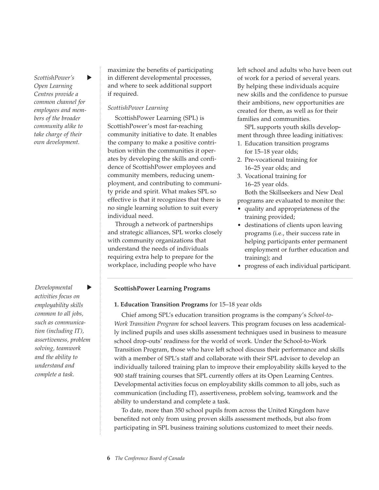*ScottishPower's*  $\blacktriangleright$ *Open Learning Centres provide a common channel for employees and members of the broader community alike to take charge of their own development.*

*Developmental*   $\blacktriangleright$ *activities focus on employability skills common to all jobs, such as communication (including IT), assertiveness, problem solving, teamwork and the ability to understand and complete a task.*

maximize the benefits of participating in different developmental processes, and where to seek additional support if required.

#### *ScottishPower Learning*

ScottishPower Learning (SPL) is ScottishPower's most far-reaching community initiative to date. It enables the company to make a positive contribution within the communities it operates by developing the skills and confidence of ScottishPower employees and community members, reducing unemployment, and contributing to community pride and spirit. What makes SPL so effective is that it recognizes that there is no single learning solution to suit every individual need.

Through a network of partnerships and strategic alliances, SPL works closely with community organizations that understand the needs of individuals requiring extra help to prepare for the workplace, including people who have

left school and adults who have been out of work for a period of several years. By helping these individuals acquire new skills and the confidence to pursue their ambitions, new opportunities are created for them, as well as for their families and communities.

SPL supports youth skills development through three leading initiatives:

- 1. Education transition programs for 15–18 year olds;
- 2. Pre-vocational training for 16–25 year olds; and
- 3. Vocational training for 16–25 year olds.

Both the Skillseekers and New Deal programs are evaluated to monitor the:

- quality and appropriateness of the training provided;
- destinations of clients upon leaving programs (i.e., their success rate in helping participants enter permanent employment or further education and training); and
- progress of each individual participant.

#### **ScottishPower Learning Programs**

#### **1. Education Transition Programs** for 15–18 year olds

Chief among SPL's education transition programs is the company's *School-to-Work Transition Program* for school leavers. This program focuses on less academically inclined pupils and uses skills assessment techniques used in business to measure school drop-outs' readiness for the world of work. Under the School-to-Work Transition Program, those who have left school discuss their performance and skills with a member of SPL's staff and collaborate with their SPL advisor to develop an individually tailored training plan to improve their employability skills keyed to the 900 staff training courses that SPL currently offers at its Open Learning Centres. Developmental activities focus on employability skills common to all jobs, such as communication (including IT), assertiveness, problem solving, teamwork and the ability to understand and complete a task.

To date, more than 350 school pupils from across the United Kingdom have benefited not only from using proven skills assessment methods, but also from participating in SPL business training solutions customized to meet their needs.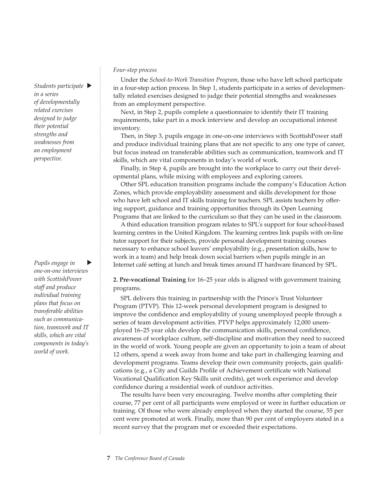*Students participate in a series of developmentally related exercises designed to judge their potential strengths and weaknesses from an employment perspective.*

*Pupils engage in one-on-one interviews with ScottishPower staff and produce individual training plans that focus on transferable abilities such as communication, teamwork and IT skills, which are vital components in today's world of work.*

#### *Four-step process*

Under the *School-to-Work Transition Program*, those who have left school participate in a four-step action process. In Step 1, students participate in a series of developmentally related exercises designed to judge their potential strengths and weaknesses from an employment perspective.

Next, in Step 2, pupils complete a questionnaire to identify their IT training requirements, take part in a mock interview and develop an occupational interest inventory.

Then, in Step 3, pupils engage in one-on-one interviews with ScottishPower staff and produce individual training plans that are not specific to any one type of career, but focus instead on transferable abilities such as communication, teamwork and IT skills, which are vital components in today's world of work.

Finally, in Step 4, pupils are brought into the workplace to carry out their developmental plans, while mixing with employees and exploring careers.

Other SPL education transition programs include the company's Education Action Zones, which provide employability assessment and skills development for those who have left school and IT skills training for teachers. SPL assists teachers by offering support, guidance and training opportunities through its Open Learning Programs that are linked to the curriculum so that they can be used in the classroom.

A third education transition program relates to SPL's support for four school-based learning centres in the United Kingdom. The learning centres link pupils with on-line tutor support for their subjects, provide personal development training courses necessary to enhance school leavers' employability (e.g., presentation skills, how to work in a team) and help break down social barriers when pupils mingle in an Internet café setting at lunch and break times around IT hardware financed by SPL.

**2. Pre-vocational Training** for 16–25 year olds is aligned with government training programs.

SPL delivers this training in partnership with the Prince's Trust Volunteer Program (PTVP). This 12-week personal development program is designed to improve the confidence and employability of young unemployed people through a series of team development activities. PTVP helps approximately 12,000 unemployed 16–25 year olds develop the communication skills, personal confidence, awareness of workplace culture, self-discipline and motivation they need to succeed in the world of work. Young people are given an opportunity to join a team of about 12 others, spend a week away from home and take part in challenging learning and development programs. Teams develop their own community projects, gain qualifications (e.g., a City and Guilds Profile of Achievement certificate with National Vocational Qualification Key Skills unit credits), get work experience and develop confidence during a residential week of outdoor activities.

The results have been very encouraging. Twelve months after completing their course, 77 per cent of all participants were employed or were in further education or training. Of those who were already employed when they started the course, 55 per cent were promoted at work. Finally, more than 90 per cent of employers stated in a recent survey that the program met or exceeded their expectations.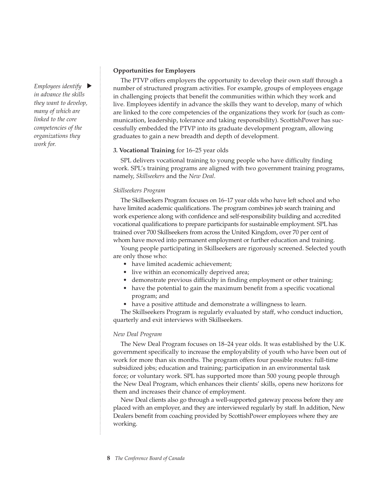*Employees identify*  $\blacktriangleright$ *in advance the skills they want to develop, many of which are linked to the core competencies of the organizations they work for.*

#### **Opportunities for Employers**

The PTVP offers employers the opportunity to develop their own staff through a number of structured program activities. For example, groups of employees engage in challenging projects that benefit the communities within which they work and live. Employees identify in advance the skills they want to develop, many of which are linked to the core competencies of the organizations they work for (such as communication, leadership, tolerance and taking responsibility). ScottishPower has successfully embedded the PTVP into its graduate development program, allowing graduates to gain a new breadth and depth of development.

#### *3.* **Vocational Training** for 16–25 year olds

SPL delivers vocational training to young people who have difficulty finding work. SPL's training programs are aligned with two government training programs, namely, *Skillseekers* and the *New Deal*.

# *Skillseekers Program*

The Skillseekers Program focuses on 16–17 year olds who have left school and who have limited academic qualifications. The program combines job search training and work experience along with confidence and self-responsibility building and accredited vocational qualifications to prepare participants for sustainable employment. SPL has trained over 700 Skillseekers from across the United Kingdom, over 70 per cent of whom have moved into permanent employment or further education and training.

Young people participating in Skillseekers are rigorously screened. Selected youth are only those who:

- have limited academic achievement;
- live within an economically deprived area;
- demonstrate previous difficulty in finding employment or other training;
- have the potential to gain the maximum benefit from a specific vocational program; and
- have a positive attitude and demonstrate a willingness to learn.

The Skillseekers Program is regularly evaluated by staff, who conduct induction, quarterly and exit interviews with Skillseekers.

#### *New Deal Program*

The New Deal Program focuses on 18–24 year olds. It was established by the U.K. government specifically to increase the employability of youth who have been out of work for more than six months. The program offers four possible routes: full-time subsidized jobs; education and training; participation in an environmental task force; or voluntary work. SPL has supported more than 500 young people through the New Deal Program, which enhances their clients' skills, opens new horizons for them and increases their chance of employment.

New Deal clients also go through a well-supported gateway process before they are placed with an employer, and they are interviewed regularly by staff. In addition, New Dealers benefit from coaching provided by ScottishPower employees where they are working.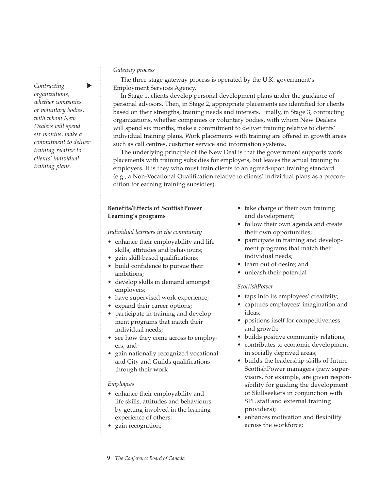*Contracting organizations, whether companies or voluntary bodies, with whom New Dealers will spend six months, make a commitment to deliver training relative to clients' individual training plans.*

#### *Gateway process*

The three-stage gateway process is operated by the U.K. government's Employment Services Agency.

In Stage 1, clients develop personal development plans under the guidance of personal advisors. Then, in Stage 2, appropriate placements are identified for clients based on their strengths, training needs and interests. Finally, in Stage 3, contracting organizations, whether companies or voluntary bodies, with whom New Dealers will spend six months, make a commitment to deliver training relative to clients' individual training plans. Work placements with training are offered in growth areas such as call centres, customer service and information systems.

The underlying principle of the New Deal is that the government supports work placements with training subsidies for employers, but leaves the actual training to employers. It is they who must train clients to an agreed-upon training standard (e.g., a Non-Vocational Qualification relative to clients' individual plans as a precondition for earning training subsidies).

#### **Benefits/Effects of ScottishPower Learning's programs**

*Individual learners in the community*

- enhance their employability and life skills, attitudes and behaviours;
- gain skill-based qualifications;
- build confidence to pursue their ambitions;
- develop skills in demand amongst employers;
- have supervised work experience;
- expand their career options;
- participate in training and development programs that match their individual needs;
- see how they come across to employers; and
- gain nationally recognized vocational and City and Guilds qualifications through their work

#### *Employees*

- enhance their employability and life skills, attitudes and behaviours by getting involved in the learning experience of others;
- gain recognition;
- take charge of their own training and development;
- follow their own agenda and create their own opportunities;
- participate in training and development programs that match their individual needs;
- learn out of desire; and
- unleash their potential

#### *ScottishPower*

- taps into its employees' creativity;
- captures employees' imagination and ideas;
- positions itself for competitiveness and growth;
- builds positive community relations;
- contributes to economic development in socially deprived areas;
- builds the leadership skills of future ScottishPower managers (new supervisors, for example, are given responsibility for guiding the development of Skillseekers in conjunction with SPL staff and external training providers);
- enhances motivation and flexibility across the workforce;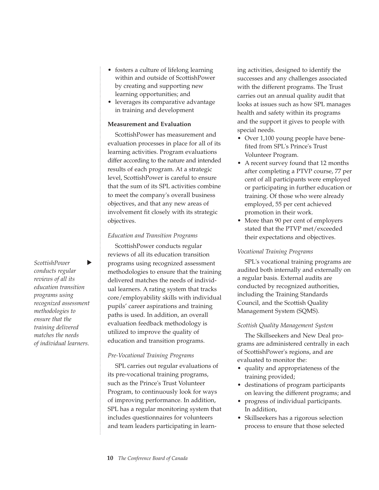- fosters a culture of lifelong learning within and outside of ScottishPower by creating and supporting new learning opportunities; and
- leverages its comparative advantage in training and development

# **Measurement and Evaluation**

ScottishPower has measurement and evaluation processes in place for all of its learning activities. Program evaluations differ according to the nature and intended results of each program. At a strategic level, ScottishPower is careful to ensure that the sum of its SPL activities combine to meet the company's overall business objectives, and that any new areas of involvement fit closely with its strategic objectives.

# *Education and Transition Programs*

ScottishPower conducts regular reviews of all its education transition programs using recognized assessment methodologies to ensure that the training delivered matches the needs of individual learners. A rating system that tracks core/employability skills with individual pupils' career aspirations and training paths is used. In addition, an overall evaluation feedback methodology is utilized to improve the quality of education and transition programs.

# *Pre-Vocational Training Programs*

SPL carries out regular evaluations of its pre-vocational training programs, such as the Prince's Trust Volunteer Program, to continuously look for ways of improving performance. In addition, SPL has a regular monitoring system that includes questionnaires for volunteers and team leaders participating in learning activities, designed to identify the successes and any challenges associated with the different programs. The Trust carries out an annual quality audit that looks at issues such as how SPL manages health and safety within its programs and the support it gives to people with special needs.

- Over 1,100 young people have benefited from SPL's Prince's Trust Volunteer Program.
- A recent survey found that 12 months after completing a PTVP course, 77 per cent of all participants were employed or participating in further education or training. Of those who were already employed, 55 per cent achieved promotion in their work.
- More than 90 per cent of employers stated that the PTVP met/exceeded their expectations and objectives.

# *Vocational Training Programs*

SPL's vocational training programs are audited both internally and externally on a regular basis. External audits are conducted by recognized authorities, including the Training Standards Council, and the Scottish Quality Management System (SQMS).

# *Scottish Quality Management System*

The Skillseekers and New Deal programs are administered centrally in each of ScottishPower's regions, and are evaluated to monitor the:

- quality and appropriateness of the training provided;
- destinations of program participants on leaving the different programs; and
- progress of individual participants. In addition,
- Skillseekers has a rigorous selection process to ensure that those selected

*ScottishPower*  $\blacktriangleright$ *conducts regular reviews of all its education transition programs using recognized assessment methodologies to ensure that the training delivered matches the needs of individual learners.*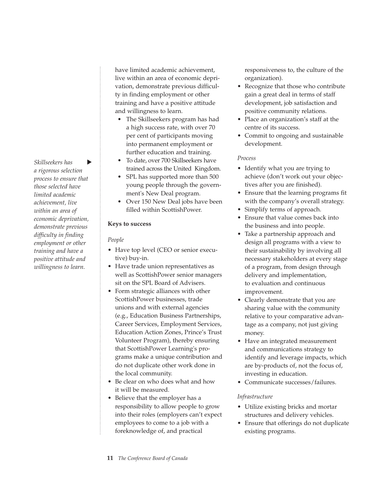*Skillseekers has*  $\blacktriangleright$ *a rigorous selection process to ensure that those selected have limited academic achievement, live within an area of economic deprivation, demonstrate previous difficulty in finding employment or other training and have a positive attitude and willingness to learn.*

have limited academic achievement, live within an area of economic deprivation, demonstrate previous difficulty in finding employment or other training and have a positive attitude and willingness to learn.

- The Skillseekers program has had a high success rate, with over 70 per cent of participants moving into permanent employment or further education and training.
- To date, over 700 Skillseekers have trained across the United Kingdom.
- SPL has supported more than 500 young people through the government's New Deal program.
- Over 150 New Deal jobs have been filled within ScottishPower.

# **Keys to success**

# *People*

- Have top level (CEO or senior executive) buy-in.
- Have trade union representatives as well as ScottishPower senior managers sit on the SPL Board of Advisers.
- Form strategic alliances with other ScottishPower businesses, trade unions and with external agencies (e.g., Education Business Partnerships, Career Services, Employment Services, Education Action Zones, Prince's Trust Volunteer Program), thereby ensuring that ScottishPower Learning's programs make a unique contribution and do not duplicate other work done in the local community.
- Be clear on who does what and how it will be measured.
- Believe that the employer has a responsibility to allow people to grow into their roles (employers can't expect employees to come to a job with a foreknowledge of, and practical

responsiveness to, the culture of the organization).

- Recognize that those who contribute gain a great deal in terms of staff development, job satisfaction and positive community relations.
- Place an organization's staff at the centre of its success.
- Commit to ongoing and sustainable development.

# *Process*

- Identify what you are trying to achieve (don't work out your objectives after you are finished).
- Ensure that the learning programs fit with the company's overall strategy.
- Simplify terms of approach.
- Ensure that value comes back into the business and into people.
- Take a partnership approach and design all programs with a view to their sustainability by involving all necessary stakeholders at every stage of a program, from design through delivery and implementation, to evaluation and continuous improvement.
- Clearly demonstrate that you are sharing value with the community relative to your comparative advantage as a company, not just giving money.
- Have an integrated measurement and communications strategy to identify and leverage impacts, which are by-products of, not the focus of, investing in education.
- Communicate successes/failures.

# *Infrastructure*

- Utilize existing bricks and mortar structures and delivery vehicles.
- Ensure that offerings do not duplicate existing programs.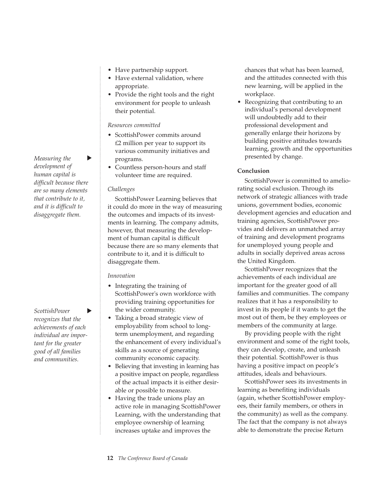- Have partnership support.
- Have external validation, where appropriate.
- Provide the right tools and the right environment for people to unleash their potential.

#### *Resources committed*

- ScottishPower commits around £2 million per year to support its various community initiatives and programs.
- Countless person-hours and staff volunteer time are required.

# *Challenges*

ScottishPower Learning believes that it could do more in the way of measuring the outcomes and impacts of its investments in learning. The company admits, however, that measuring the development of human capital is difficult because there are so many elements that contribute to it, and it is difficult to disaggregate them.

# *Innovation*

- Integrating the training of ScottishPower's own workforce with providing training opportunities for the wider community.
- Taking a broad strategic view of employability from school to longterm unemployment, and regarding the enhancement of every individual's skills as a source of generating community economic capacity.
- Believing that investing in learning has a positive impact on people, regardless of the actual impacts it is either desirable or possible to measure.
- Having the trade unions play an active role in managing ScottishPower Learning, with the understanding that employee ownership of learning increases uptake and improves the

chances that what has been learned, and the attitudes connected with this new learning, will be applied in the workplace.

• Recognizing that contributing to an individual's personal development will undoubtedly add to their professional development and generally enlarge their horizons by building positive attitudes towards learning, growth and the opportunities presented by change.

# **Conclusion**

ScottishPower is committed to ameliorating social exclusion. Through its network of strategic alliances with trade unions, government bodies, economic development agencies and education and training agencies, ScottishPower provides and delivers an unmatched array of training and development programs for unemployed young people and adults in socially deprived areas across the United Kingdom.

ScottishPower recognizes that the achievements of each individual are important for the greater good of all families and communities. The company realizes that it has a responsibility to invest in its people if it wants to get the most out of them, be they employees or members of the community at large.

By providing people with the right environment and some of the right tools, they can develop, create, and unleash their potential. ScottishPower is thus having a positive impact on people's attitudes, ideals and behaviours.

ScottishPower sees its investments in learning as benefiting individuals (again, whether ScottishPower employees, their family members, or others in the community) as well as the company. The fact that the company is not always able to demonstrate the precise Return

*Measuring the* Þ *development of human capital is difficult because there are so many elements that contribute to it, and it is difficult to disaggregate them.*

*ScottishPower*  Þ *recognizes that the achievements of each individual are important for the greater good of all families and communities.*